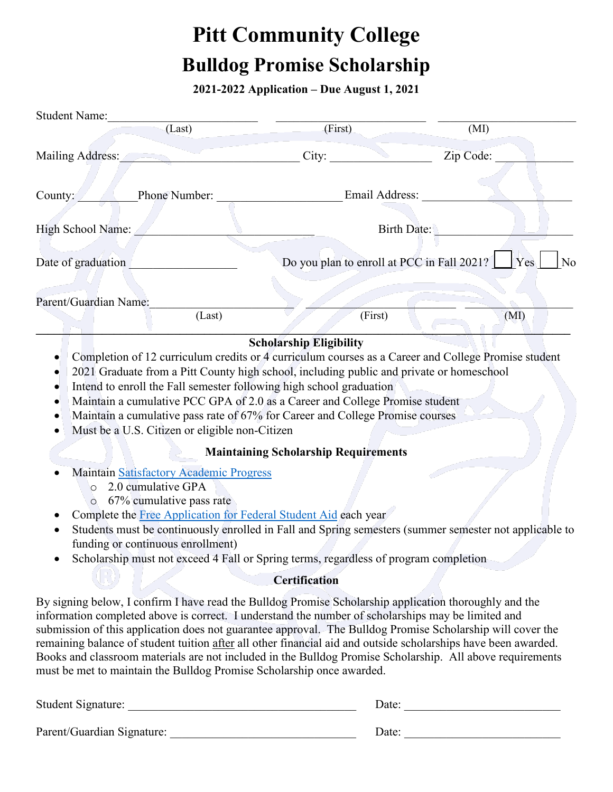## **Pitt Community College Bulldog Promise Scholarship**

**2021-2022 Application – Due August 1, 2021** 

| <b>Student Name:</b>                                                                                                                                                                                                                                                                                                                                                                                                                                                                                                                                                                                                               |                                             |                                                                         |
|------------------------------------------------------------------------------------------------------------------------------------------------------------------------------------------------------------------------------------------------------------------------------------------------------------------------------------------------------------------------------------------------------------------------------------------------------------------------------------------------------------------------------------------------------------------------------------------------------------------------------------|---------------------------------------------|-------------------------------------------------------------------------|
| $\overline{L}$ ast)                                                                                                                                                                                                                                                                                                                                                                                                                                                                                                                                                                                                                | (First)                                     | (MI)                                                                    |
| Mailing Address:                                                                                                                                                                                                                                                                                                                                                                                                                                                                                                                                                                                                                   | City:                                       | Zip Code:                                                               |
| Phone Number:<br>County:                                                                                                                                                                                                                                                                                                                                                                                                                                                                                                                                                                                                           | Email Address:                              |                                                                         |
| High School Name:                                                                                                                                                                                                                                                                                                                                                                                                                                                                                                                                                                                                                  |                                             | Birth Date:                                                             |
| Date of graduation                                                                                                                                                                                                                                                                                                                                                                                                                                                                                                                                                                                                                 |                                             | Do you plan to enroll at PCC in Fall 2021? $\Box$ Yes<br>N <sub>o</sub> |
|                                                                                                                                                                                                                                                                                                                                                                                                                                                                                                                                                                                                                                    |                                             |                                                                         |
| Parent/Guardian Name:<br>(Last)                                                                                                                                                                                                                                                                                                                                                                                                                                                                                                                                                                                                    | (First)                                     | (MI)                                                                    |
| Completion of 12 curriculum credits or 4 curriculum courses as a Career and College Promise student<br>2021 Graduate from a Pitt County high school, including public and private or homeschool<br>Intend to enroll the Fall semester following high school graduation<br>Maintain a cumulative PCC GPA of 2.0 as a Career and College Promise student<br>Maintain a cumulative pass rate of 67% for Career and College Promise courses<br>Must be a U.S. Citizen or eligible non-Citizen                                                                                                                                          | <b>Scholarship Eligibility</b>              |                                                                         |
|                                                                                                                                                                                                                                                                                                                                                                                                                                                                                                                                                                                                                                    | <b>Maintaining Scholarship Requirements</b> |                                                                         |
| Maintain Satisfactory Academic Progress<br>2.0 cumulative GPA<br>$\circ$<br>67% cumulative pass rate<br>$\alpha$<br>Complete the Free Application for Federal Student Aid each year<br>Students must be continuously enrolled in Fall and Spring semesters (summer semester not applicable to<br>funding or continuous enrollment)<br>Scholarship must not exceed 4 Fall or Spring terms, regardless of program completion                                                                                                                                                                                                         |                                             |                                                                         |
|                                                                                                                                                                                                                                                                                                                                                                                                                                                                                                                                                                                                                                    | <b>Certification</b>                        |                                                                         |
| By signing below, I confirm I have read the Bulldog Promise Scholarship application thoroughly and the<br>information completed above is correct. I understand the number of scholarships may be limited and<br>submission of this application does not guarantee approval. The Bulldog Promise Scholarship will cover the<br>remaining balance of student tuition after all other financial aid and outside scholarships have been awarded.<br>Books and classroom materials are not included in the Bulldog Promise Scholarship. All above requirements<br>must be met to maintain the Bulldog Promise Scholarship once awarded. |                                             |                                                                         |

| Student Signature:         | Date: |  |
|----------------------------|-------|--|
| Parent/Guardian Signature: | Date: |  |